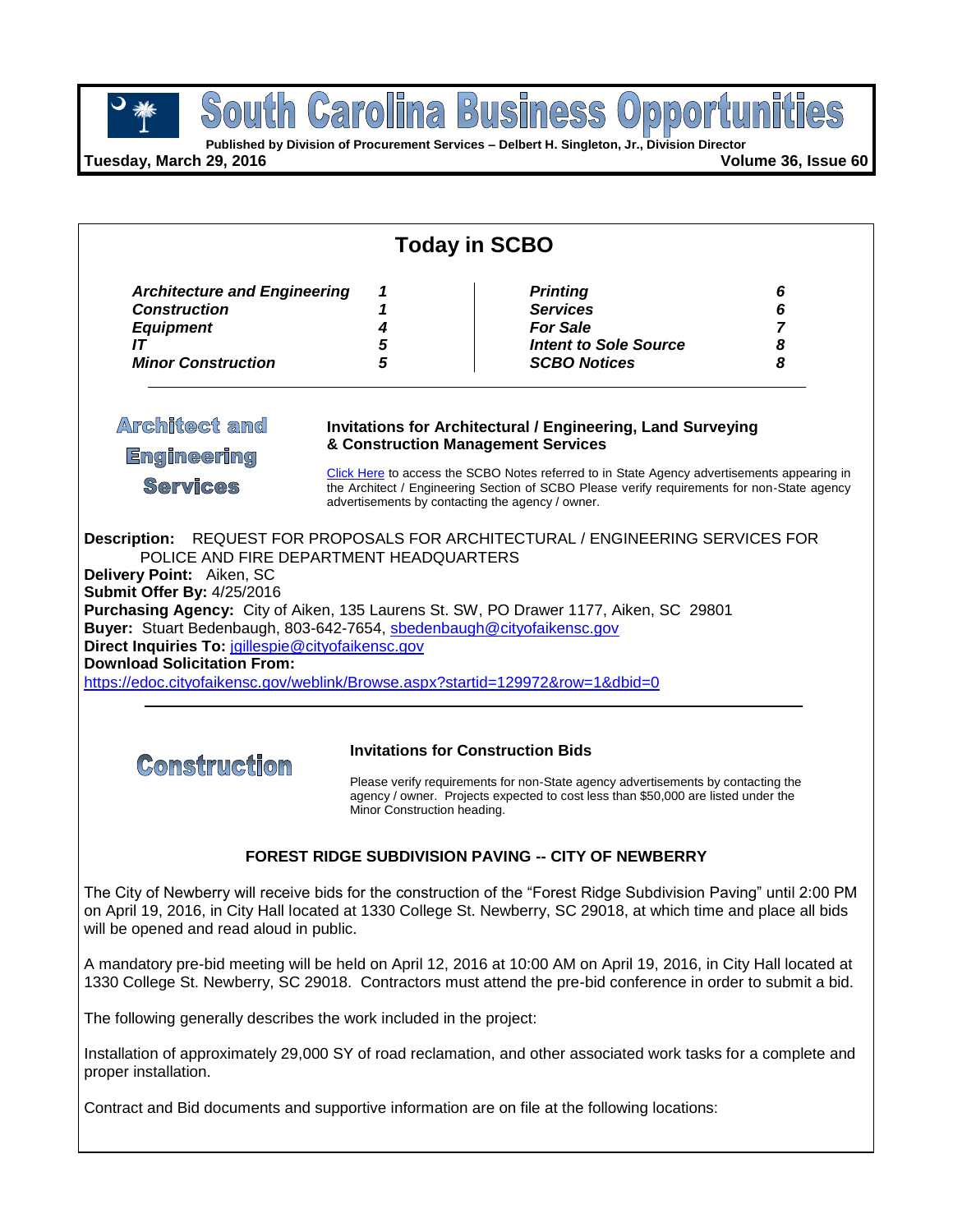

**Published by Division of Procurement Services – Delbert H. Singleton, Jr., Division Director**

**Tuesday, March 29, 2016 Volume 36, Issue 60**

|                                                                                                                                                                                                                                                    |                             | <b>Today in SCBO</b>                                                                                                                                                                                                                           |                                    |
|----------------------------------------------------------------------------------------------------------------------------------------------------------------------------------------------------------------------------------------------------|-----------------------------|------------------------------------------------------------------------------------------------------------------------------------------------------------------------------------------------------------------------------------------------|------------------------------------|
| <b>Architecture and Engineering</b><br><b>Construction</b><br><b>Equipment</b><br>IT<br><b>Minor Construction</b>                                                                                                                                  | 1<br>1<br>4<br>5<br>5       | <b>Printing</b><br><b>Services</b><br><b>For Sale</b><br><b>Intent to Sole Source</b><br><b>SCBO Notices</b>                                                                                                                                   | 6<br>6<br>$\overline{7}$<br>8<br>8 |
| <b>Architect and</b><br><b>Engineering</b>                                                                                                                                                                                                         |                             | <b>Invitations for Architectural / Engineering, Land Surveying</b><br>& Construction Management Services                                                                                                                                       |                                    |
| <b>Services</b>                                                                                                                                                                                                                                    |                             | Click Here to access the SCBO Notes referred to in State Agency advertisements appearing in<br>the Architect / Engineering Section of SCBO Please verify requirements for non-State agency<br>advertisements by contacting the agency / owner. |                                    |
|                                                                                                                                                                                                                                                    |                             |                                                                                                                                                                                                                                                |                                    |
| <b>Construction</b>                                                                                                                                                                                                                                |                             | Purchasing Agency: City of Aiken, 135 Laurens St. SW, PO Drawer 1177, Aiken, SC 29801<br><b>Invitations for Construction Bids</b><br>Please verify requirements for non-State agency advertisements by contacting the                          |                                    |
|                                                                                                                                                                                                                                                    | Minor Construction heading. | agency / owner. Projects expected to cost less than \$50,000 are listed under the                                                                                                                                                              |                                    |
| Buyer: Stuart Bedenbaugh, 803-642-7654, sbedenbaugh@cityofaikensc.gov<br>Direct Inquiries To: jgillespie@cityofaikensc.gov<br><b>Download Solicitation From:</b><br>https://edoc.cityofaikensc.gov/weblink/Browse.aspx?startid=129972&row=1&dbid=0 |                             | <b>FOREST RIDGE SUBDIVISION PAVING -- CITY OF NEWBERRY</b>                                                                                                                                                                                     |                                    |
|                                                                                                                                                                                                                                                    |                             | The City of Newberry will receive bids for the construction of the "Forest Ridge Subdivision Paving" until 2:00 PM<br>on April 19, 2016, in City Hall located at 1330 College St. Newberry, SC 29018, at which time and place all bids         |                                    |
|                                                                                                                                                                                                                                                    |                             | A mandatory pre-bid meeting will be held on April 12, 2016 at 10:00 AM on April 19, 2016, in City Hall located at<br>1330 College St. Newberry, SC 29018. Contractors must attend the pre-bid conference in order to submit a bid.             |                                    |
|                                                                                                                                                                                                                                                    |                             |                                                                                                                                                                                                                                                |                                    |
| will be opened and read aloud in public.<br>The following generally describes the work included in the project:<br>proper installation.                                                                                                            |                             | Installation of approximately 29,000 SY of road reclamation, and other associated work tasks for a complete and                                                                                                                                |                                    |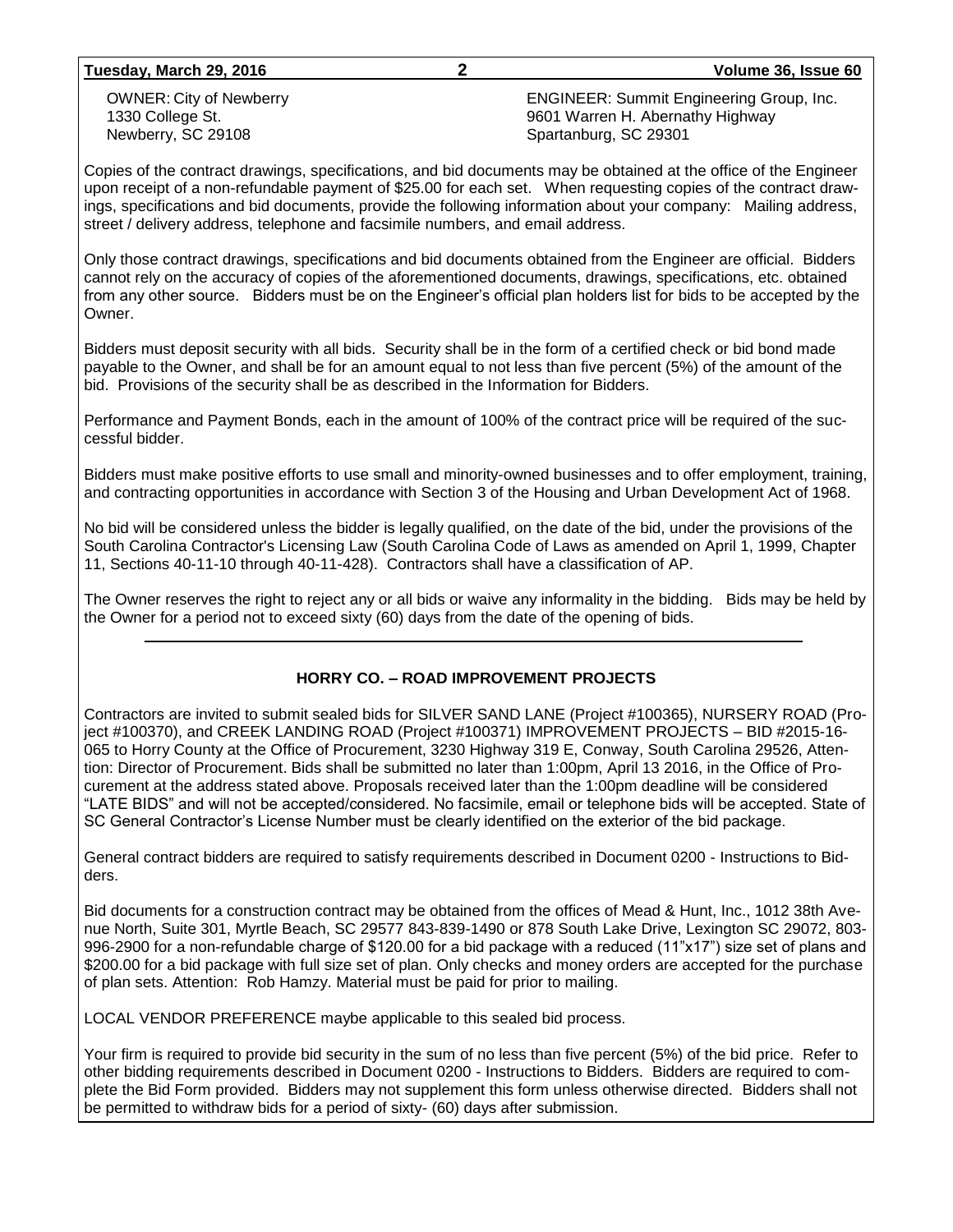**Tuesday, March 29, 2016 2 Volume 36, Issue 60**

OWNER: City of Newberry 1330 College St. Newberry, SC 29108

ENGINEER: Summit Engineering Group, Inc. 9601 Warren H. Abernathy Highway Spartanburg, SC 29301

Copies of the contract drawings, specifications, and bid documents may be obtained at the office of the Engineer upon receipt of a non-refundable payment of \$25.00 for each set. When requesting copies of the contract drawings, specifications and bid documents, provide the following information about your company: Mailing address, street / delivery address, telephone and facsimile numbers, and email address.

Only those contract drawings, specifications and bid documents obtained from the Engineer are official. Bidders cannot rely on the accuracy of copies of the aforementioned documents, drawings, specifications, etc. obtained from any other source. Bidders must be on the Engineer's official plan holders list for bids to be accepted by the Owner.

Bidders must deposit security with all bids. Security shall be in the form of a certified check or bid bond made payable to the Owner, and shall be for an amount equal to not less than five percent (5%) of the amount of the bid. Provisions of the security shall be as described in the Information for Bidders.

Performance and Payment Bonds, each in the amount of 100% of the contract price will be required of the successful bidder.

Bidders must make positive efforts to use small and minority-owned businesses and to offer employment, training, and contracting opportunities in accordance with Section 3 of the Housing and Urban Development Act of 1968.

No bid will be considered unless the bidder is legally qualified, on the date of the bid, under the provisions of the South Carolina Contractor's Licensing Law (South Carolina Code of Laws as amended on April 1, 1999, Chapter 11, Sections 40-11-10 through 40-11-428). Contractors shall have a classification of AP.

The Owner reserves the right to reject any or all bids or waive any informality in the bidding. Bids may be held by the Owner for a period not to exceed sixty (60) days from the date of the opening of bids.

#### **HORRY CO. – ROAD IMPROVEMENT PROJECTS**

Contractors are invited to submit sealed bids for SILVER SAND LANE (Project #100365), NURSERY ROAD (Project #100370), and CREEK LANDING ROAD (Project #100371) IMPROVEMENT PROJECTS – BID #2015-16- 065 to Horry County at the Office of Procurement, 3230 Highway 319 E, Conway, South Carolina 29526, Attention: Director of Procurement. Bids shall be submitted no later than 1:00pm, April 13 2016, in the Office of Procurement at the address stated above. Proposals received later than the 1:00pm deadline will be considered "LATE BIDS" and will not be accepted/considered. No facsimile, email or telephone bids will be accepted. State of SC General Contractor's License Number must be clearly identified on the exterior of the bid package.

General contract bidders are required to satisfy requirements described in Document 0200 - Instructions to Bidders.

Bid documents for a construction contract may be obtained from the offices of Mead & Hunt, Inc., 1012 38th Avenue North, Suite 301, Myrtle Beach, SC 29577 843-839-1490 or 878 South Lake Drive, Lexington SC 29072, 803- 996-2900 for a non-refundable charge of \$120.00 for a bid package with a reduced (11"x17") size set of plans and \$200.00 for a bid package with full size set of plan. Only checks and money orders are accepted for the purchase of plan sets. Attention: Rob Hamzy. Material must be paid for prior to mailing.

LOCAL VENDOR PREFERENCE maybe applicable to this sealed bid process.

Your firm is required to provide bid security in the sum of no less than five percent (5%) of the bid price. Refer to other bidding requirements described in Document 0200 - Instructions to Bidders. Bidders are required to complete the Bid Form provided. Bidders may not supplement this form unless otherwise directed. Bidders shall not be permitted to withdraw bids for a period of sixty- (60) days after submission.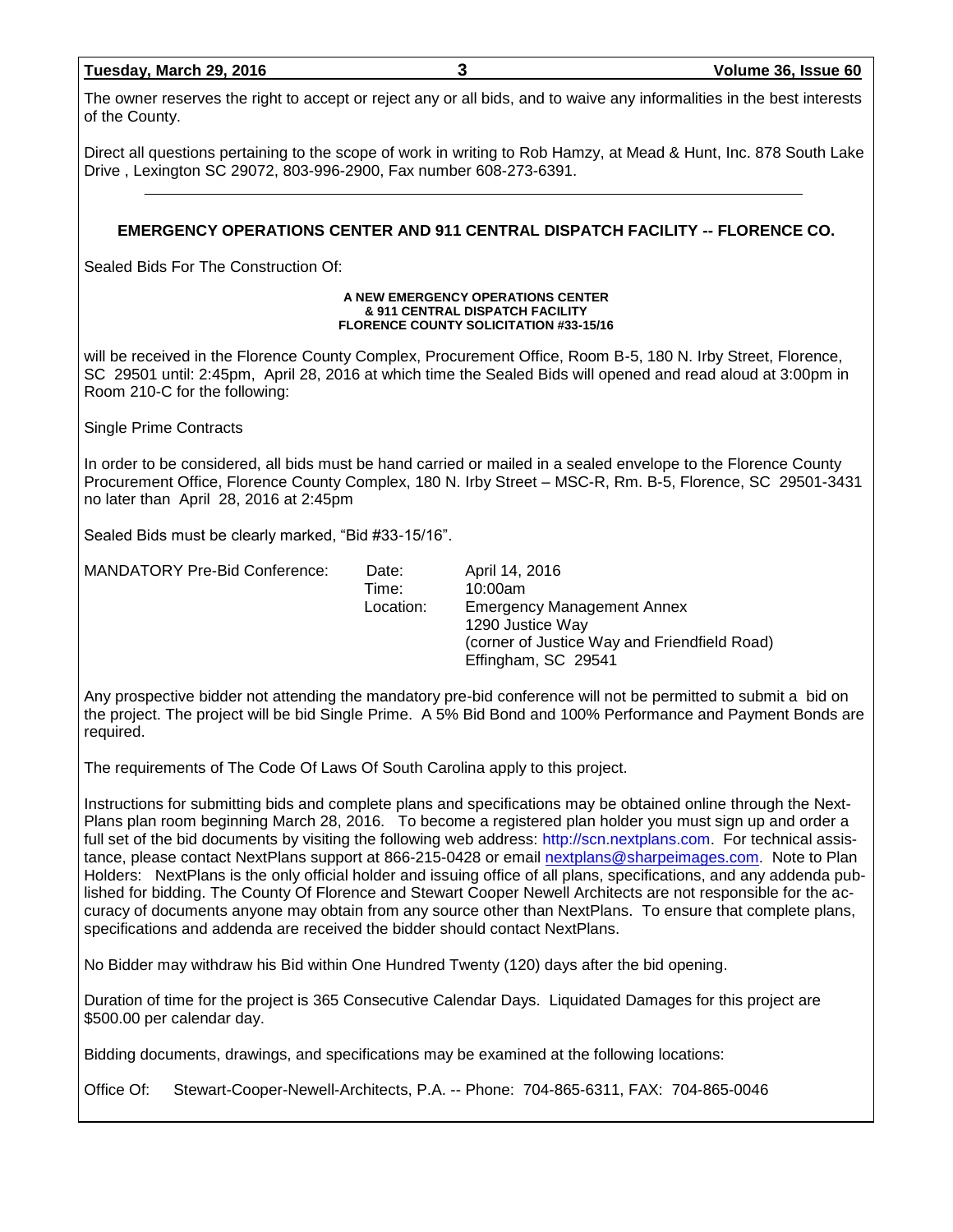| Tuesday, March 29, 2016 |  |  |
|-------------------------|--|--|
|                         |  |  |

The owner reserves the right to accept or reject any or all bids, and to waive any informalities in the best interests of the County.

Direct all questions pertaining to the scope of work in writing to Rob Hamzy, at Mead & Hunt, Inc. 878 South Lake Drive , Lexington SC 29072, 803-996-2900, Fax number 608-273-6391.

#### **EMERGENCY OPERATIONS CENTER AND 911 CENTRAL DISPATCH FACILITY -- FLORENCE CO.**

Sealed Bids For The Construction Of:

#### **A NEW EMERGENCY OPERATIONS CENTER & 911 CENTRAL DISPATCH FACILITY FLORENCE COUNTY SOLICITATION #33-15/16**

will be received in the Florence County Complex, Procurement Office, Room B-5, 180 N. Irby Street, Florence, SC 29501 until: 2:45pm, April 28, 2016 at which time the Sealed Bids will opened and read aloud at 3:00pm in Room 210-C for the following:

Single Prime Contracts

In order to be considered, all bids must be hand carried or mailed in a sealed envelope to the Florence County Procurement Office, Florence County Complex, 180 N. Irby Street – MSC-R, Rm. B-5, Florence, SC 29501-3431 no later than April 28, 2016 at 2:45pm

Sealed Bids must be clearly marked, "Bid #33-15/16".

| <b>MANDATORY Pre-Bid Conference:</b> | Date:<br>Time: | April 14, 2016<br>10:00am                                                                                                    |
|--------------------------------------|----------------|------------------------------------------------------------------------------------------------------------------------------|
|                                      | Location:      | <b>Emergency Management Annex</b><br>1290 Justice Way<br>(corner of Justice Way and Friendfield Road)<br>Effingham, SC 29541 |

Any prospective bidder not attending the mandatory pre-bid conference will not be permitted to submit a bid on the project. The project will be bid Single Prime. A 5% Bid Bond and 100% Performance and Payment Bonds are required.

The requirements of The Code Of Laws Of South Carolina apply to this project.

Instructions for submitting bids and complete plans and specifications may be obtained online through the Next-Plans plan room beginning March 28, 2016. To become a registered plan holder you must sign up and order a full set of the bid documents by visiting the following web address: [http://scn.nextplans.com.](http://scn.nextplans.com/) For technical assistance, please contact NextPlans support at 866-215-0428 or email [nextplans@sharpeimages.com.](mailto:nextplans@sharpeimages.com) Note to Plan Holders: NextPlans is the only official holder and issuing office of all plans, specifications, and any addenda published for bidding. The County Of Florence and Stewart Cooper Newell Architects are not responsible for the accuracy of documents anyone may obtain from any source other than NextPlans. To ensure that complete plans, specifications and addenda are received the bidder should contact NextPlans.

No Bidder may withdraw his Bid within One Hundred Twenty (120) days after the bid opening.

Duration of time for the project is 365 Consecutive Calendar Days. Liquidated Damages for this project are \$500.00 per calendar day.

Bidding documents, drawings, and specifications may be examined at the following locations:

Office Of: Stewart-Cooper-Newell-Architects, P.A. -- Phone: 704-865-6311, FAX: 704-865-0046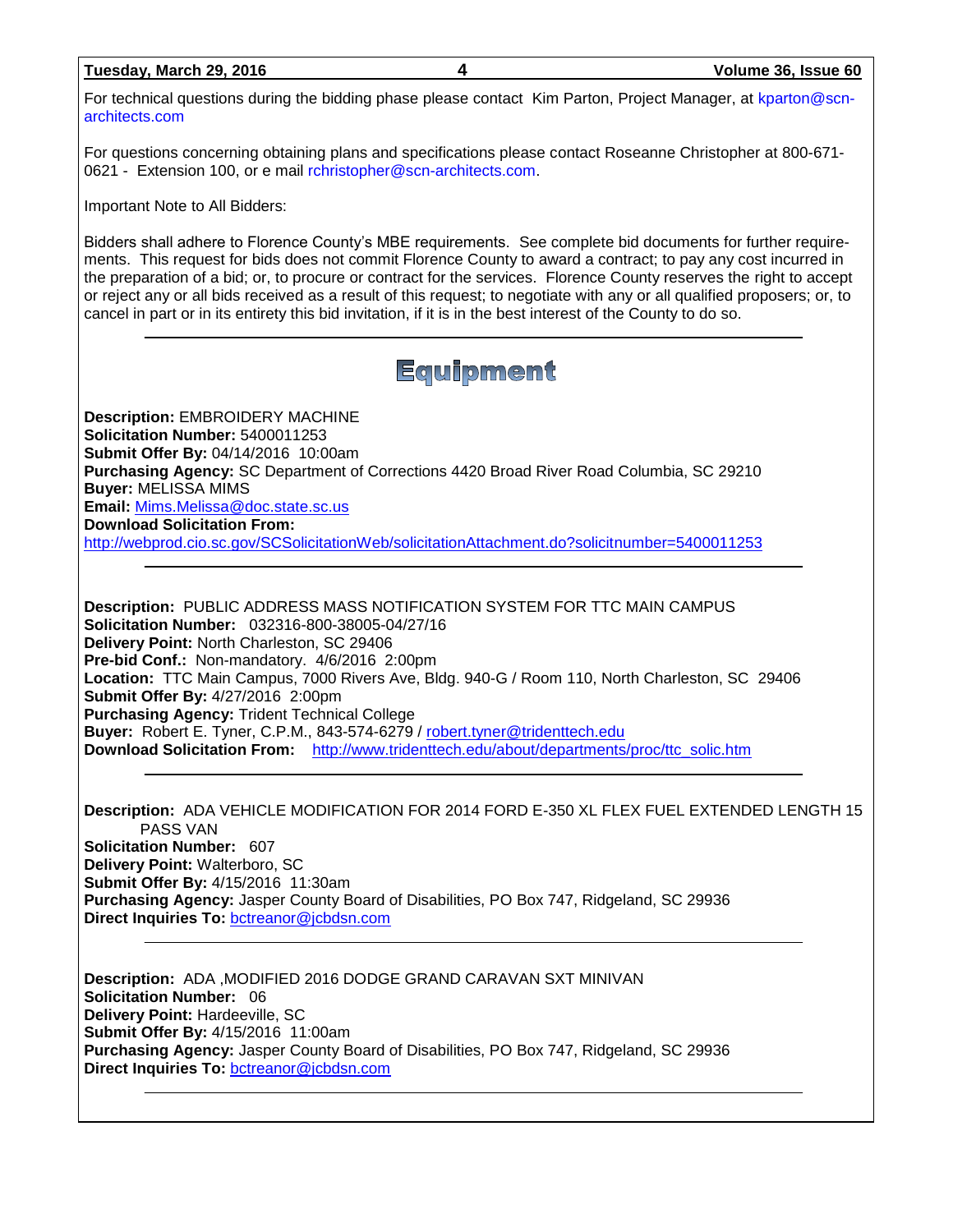| Tuesday, March 29, 2016 | Volume 36, Issue 60                                                                                          |
|-------------------------|--------------------------------------------------------------------------------------------------------------|
| architects.com          | For technical questions during the bidding phase please contact Kim Parton, Project Manager, at kparton@scn- |

For questions concerning obtaining plans and specifications please contact Roseanne Christopher at 800-671 0621 - Extension 100, or e mail [rchristopher@scn-architects.com.](mailto:rchristopher@scn-architects.com)

Important Note to All Bidders:

Bidders shall adhere to Florence County's MBE requirements. See complete bid documents for further requirements. This request for bids does not commit Florence County to award a contract; to pay any cost incurred in the preparation of a bid; or, to procure or contract for the services. Florence County reserves the right to accept or reject any or all bids received as a result of this request; to negotiate with any or all qualified proposers; or, to cancel in part or in its entirety this bid invitation, if it is in the best interest of the County to do so.

## Equipment

**Description:** EMBROIDERY MACHINE **Solicitation Number:** 5400011253 **Submit Offer By:** 04/14/2016 10:00am **Purchasing Agency:** SC Department of Corrections 4420 Broad River Road Columbia, SC 29210 **Buyer:** MELISSA MIMS **Email:** [Mims.Melissa@doc.state.sc.us](mailto:Mims.Melissa@doc.state.sc.us) **Download Solicitation From:**  <http://webprod.cio.sc.gov/SCSolicitationWeb/solicitationAttachment.do?solicitnumber=5400011253>

**Description:** PUBLIC ADDRESS MASS NOTIFICATION SYSTEM FOR TTC MAIN CAMPUS **Solicitation Number:** 032316-800-38005-04/27/16 **Delivery Point:** North Charleston, SC 29406 **Pre-bid Conf.:** Non-mandatory. 4/6/2016 2:00pm **Location:** TTC Main Campus, 7000 Rivers Ave, Bldg. 940-G / Room 110, North Charleston, SC 29406 **Submit Offer By:** 4/27/2016 2:00pm **Purchasing Agency:** Trident Technical College **Buyer:** Robert E. Tyner, C.P.M., 843-574-6279 / [robert.tyner@tridenttech.edu](mailto:robert.tyner@tridenttech.edu) **Download Solicitation From:** [http://www.tridenttech.edu/about/departments/proc/ttc\\_solic.htm](http://www.tridenttech.edu/about/departments/proc/ttc_solic.htm)

**Description:** ADA VEHICLE MODIFICATION FOR 2014 FORD E-350 XL FLEX FUEL EXTENDED LENGTH 15 PASS VAN **Solicitation Number:** 607 **Delivery Point:** Walterboro, SC **Submit Offer By:** 4/15/2016 11:30am **Purchasing Agency:** Jasper County Board of Disabilities, PO Box 747, Ridgeland, SC 29936 **Direct Inquiries To:** [bctreanor@jcbdsn.com](mailto:bctreanor@jcbdsn.com)

**Description:** ADA ,MODIFIED 2016 DODGE GRAND CARAVAN SXT MINIVAN **Solicitation Number:** 06 **Delivery Point:** Hardeeville, SC **Submit Offer By:** 4/15/2016 11:00am **Purchasing Agency:** Jasper County Board of Disabilities, PO Box 747, Ridgeland, SC 29936 **Direct Inquiries To:** [bctreanor@jcbdsn.com](mailto:bctreanor@jcbdsn.com)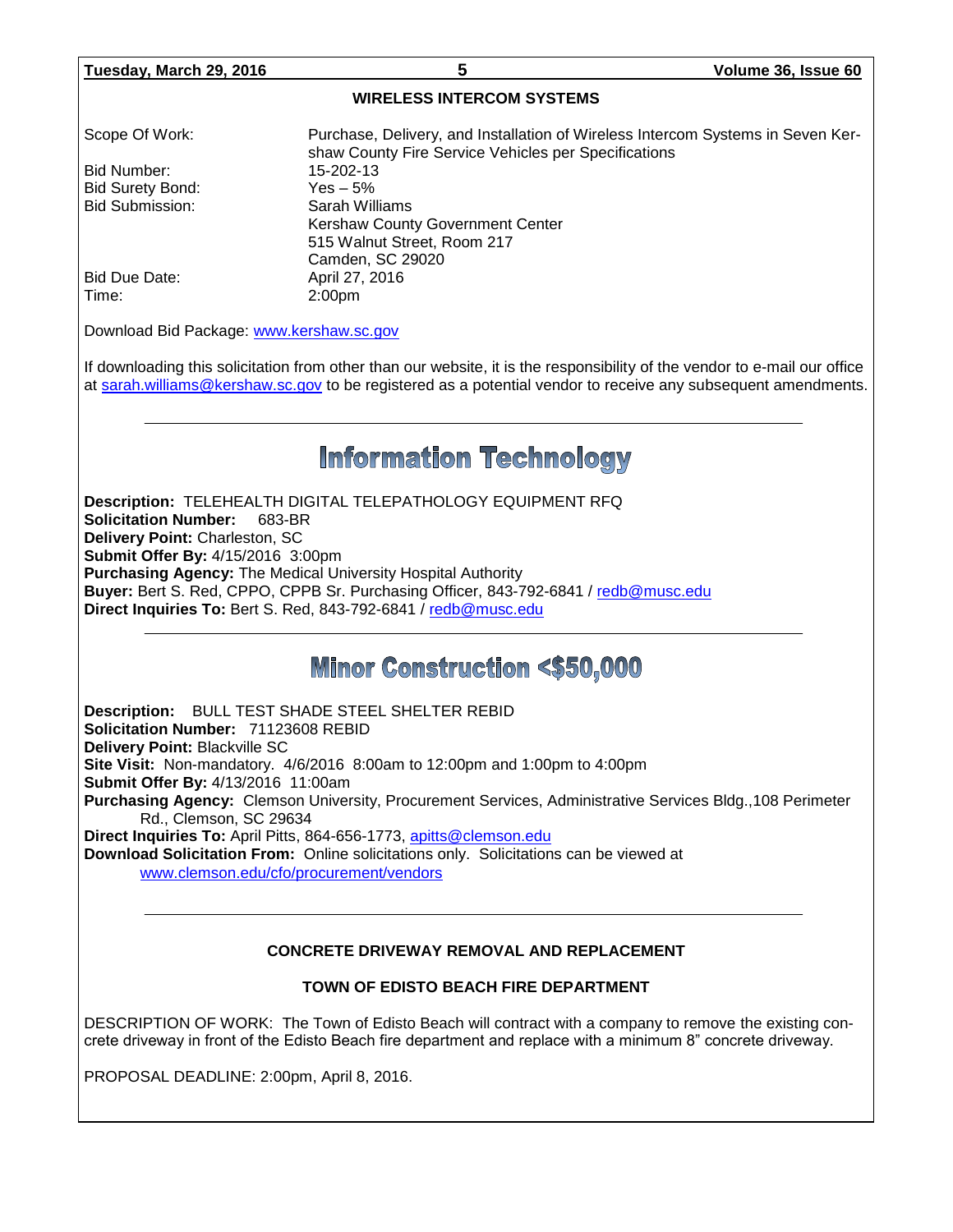#### **WIRELESS INTERCOM SYSTEMS**

| Scope Of Work:   | Purchase, Delivery, and Installation of Wireless Intercom Systems in Seven Ker-<br>shaw County Fire Service Vehicles per Specifications |
|------------------|-----------------------------------------------------------------------------------------------------------------------------------------|
| l Bid Number:    | 15-202-13                                                                                                                               |
| Bid Surety Bond: | Yes $-5\%$                                                                                                                              |
| Bid Submission:  | Sarah Williams                                                                                                                          |
|                  | Kershaw County Government Center                                                                                                        |
|                  | 515 Walnut Street, Room 217                                                                                                             |
|                  | Camden, SC 29020                                                                                                                        |
| l Bid Due Date:  | April 27, 2016                                                                                                                          |
| ∣ Time:          | 2:00 <sub>pm</sub>                                                                                                                      |

Download Bid Package: [www.kershaw.sc.gov](http://www.kershaw.sc.gov/)

If downloading this solicitation from other than our website, it is the responsibility of the vendor to e-mail our office at [sarah.williams@kershaw.sc.gov](mailto:sarah.williams@kershaw.sc.gov) to be registered as a potential vendor to receive any subsequent amendments.

# **Information Technology**

**Description:** TELEHEALTH DIGITAL TELEPATHOLOGY EQUIPMENT RFQ **Solicitation Number:** 683-BR **Delivery Point:** Charleston, SC **Submit Offer By:** 4/15/2016 3:00pm **Purchasing Agency:** The Medical University Hospital Authority **Buyer:** Bert S. Red, CPPO, CPPB Sr. Purchasing Officer, 843-792-6841 / [redb@musc.edu](mailto:redb@musc.edu) **Direct Inquiries To:** Bert S. Red, 843-792-6841 / [redb@musc.edu](mailto:redb@musc.edu)

## **Minor Construction <\$50,000**

**Description:** BULL TEST SHADE STEEL SHELTER REBID **Solicitation Number:** 71123608 REBID **Delivery Point:** Blackville SC **Site Visit:** Non-mandatory. 4/6/2016 8:00am to 12:00pm and 1:00pm to 4:00pm **Submit Offer By:** 4/13/2016 11:00am **Purchasing Agency:** Clemson University, Procurement Services, Administrative Services Bldg.,108 Perimeter Rd., Clemson, SC 29634 **Direct Inquiries To:** April Pitts, 864-656-1773, [apitts@clemson.edu](mailto:apitts@clemson.edu)

**Download Solicitation From:** Online solicitations only. Solicitations can be viewed at [www.clemson.edu/cfo/procurement/vendors](http://www.clemson.edu/cfo/procurement/vendors)

#### **CONCRETE DRIVEWAY REMOVAL AND REPLACEMENT**

#### **TOWN OF EDISTO BEACH FIRE DEPARTMENT**

DESCRIPTION OF WORK: The Town of Edisto Beach will contract with a company to remove the existing concrete driveway in front of the Edisto Beach fire department and replace with a minimum 8" concrete driveway.

PROPOSAL DEADLINE: 2:00pm, April 8, 2016.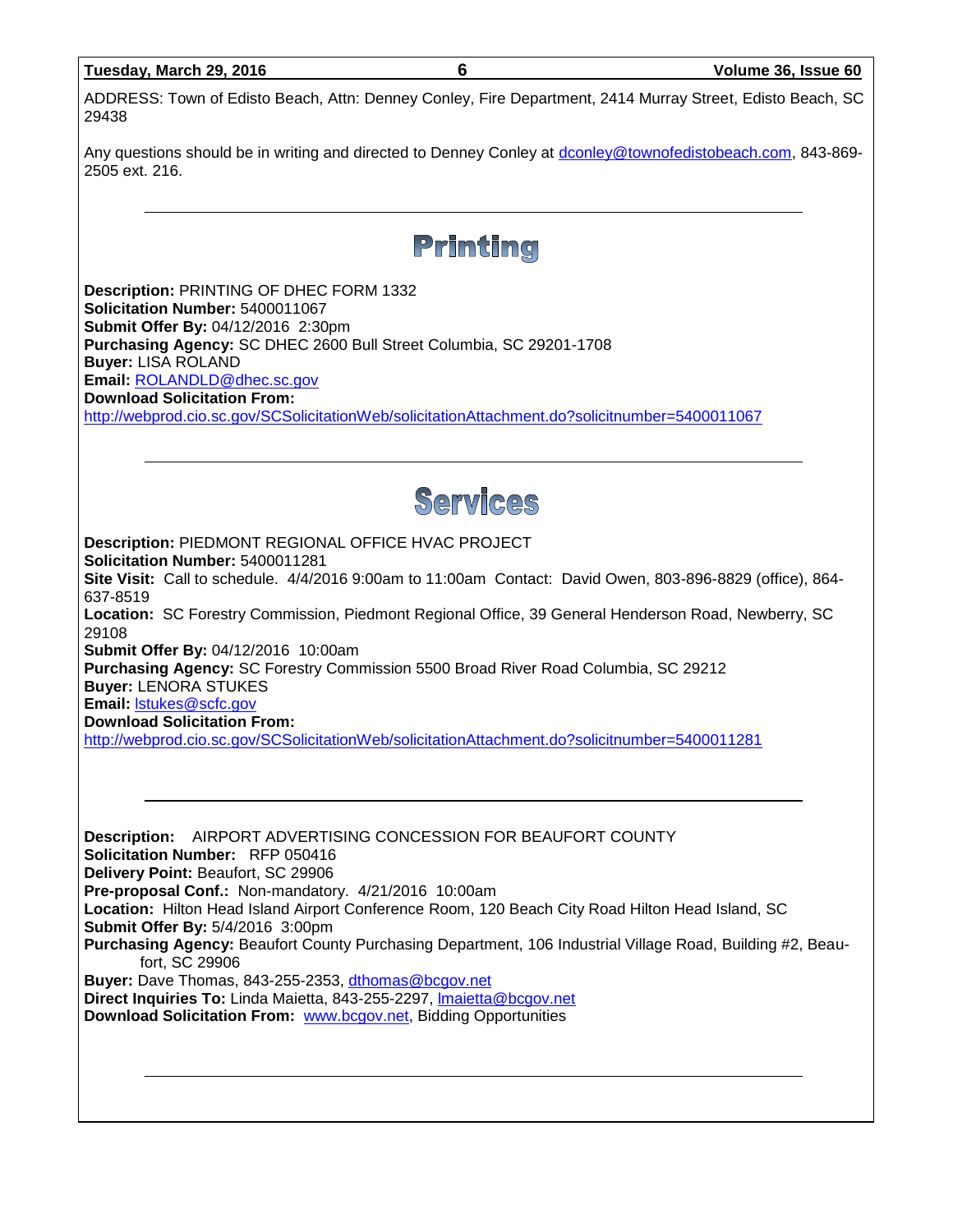| Tuesday, March 29, 2016 |  |
|-------------------------|--|
|                         |  |

ADDRESS: Town of Edisto Beach, Attn: Denney Conley, Fire Department, 2414 Murray Street, Edisto Beach, SC 29438

Any questions should be in writing and directed to Denney Conley at [dconley@townofedistobeach.com,](mailto:dconley@townofedistobeach.com) 843-869- 2505 ext. 216.



**Description:** PRINTING OF DHEC FORM 1332 **Solicitation Number:** 5400011067 **Submit Offer By:** 04/12/2016 2:30pm **Purchasing Agency:** SC DHEC 2600 Bull Street Columbia, SC 29201-1708 **Buyer:** LISA ROLAND **Email:** [ROLANDLD@dhec.sc.gov](mailto:ROLANDLD@dhec.sc.gov) **Download Solicitation From:**  <http://webprod.cio.sc.gov/SCSolicitationWeb/solicitationAttachment.do?solicitnumber=5400011067>



**Description:** PIEDMONT REGIONAL OFFICE HVAC PROJECT **Solicitation Number:** 5400011281 **Site Visit:** Call to schedule. 4/4/2016 9:00am to 11:00am Contact: David Owen, 803-896-8829 (office), 864- 637-8519 **Location:** SC Forestry Commission, Piedmont Regional Office, 39 General Henderson Road, Newberry, SC

29108

**Submit Offer By:** 04/12/2016 10:00am

**Purchasing Agency:** SC Forestry Commission 5500 Broad River Road Columbia, SC 29212

**Buyer:** LENORA STUKES

**Email:** [lstukes@scfc.gov](mailto:lstukes@scfc.gov)

**Download Solicitation From:** 

<http://webprod.cio.sc.gov/SCSolicitationWeb/solicitationAttachment.do?solicitnumber=5400011281>

**Description:** AIRPORT ADVERTISING CONCESSION FOR BEAUFORT COUNTY **Solicitation Number:** RFP 050416 **Delivery Point:** Beaufort, SC 29906 **Pre-proposal Conf.:** Non-mandatory. 4/21/2016 10:00am **Location:** Hilton Head Island Airport Conference Room, 120 Beach City Road Hilton Head Island, SC **Submit Offer By:** 5/4/2016 3:00pm **Purchasing Agency:** Beaufort County Purchasing Department, 106 Industrial Village Road, Building #2, Beaufort, SC 29906 **Buyer:** Dave Thomas, 843-255-2353, [dthomas@bcgov.net](mailto:dthomas@bcgov.net) **Direct Inquiries To:** Linda Maietta, 843-255-2297, [lmaietta@bcgov.net](mailto:lmaietta@bcgov.net) **Download Solicitation From:** [www.bcgov.net,](http://www.bcgov.net/) Bidding Opportunities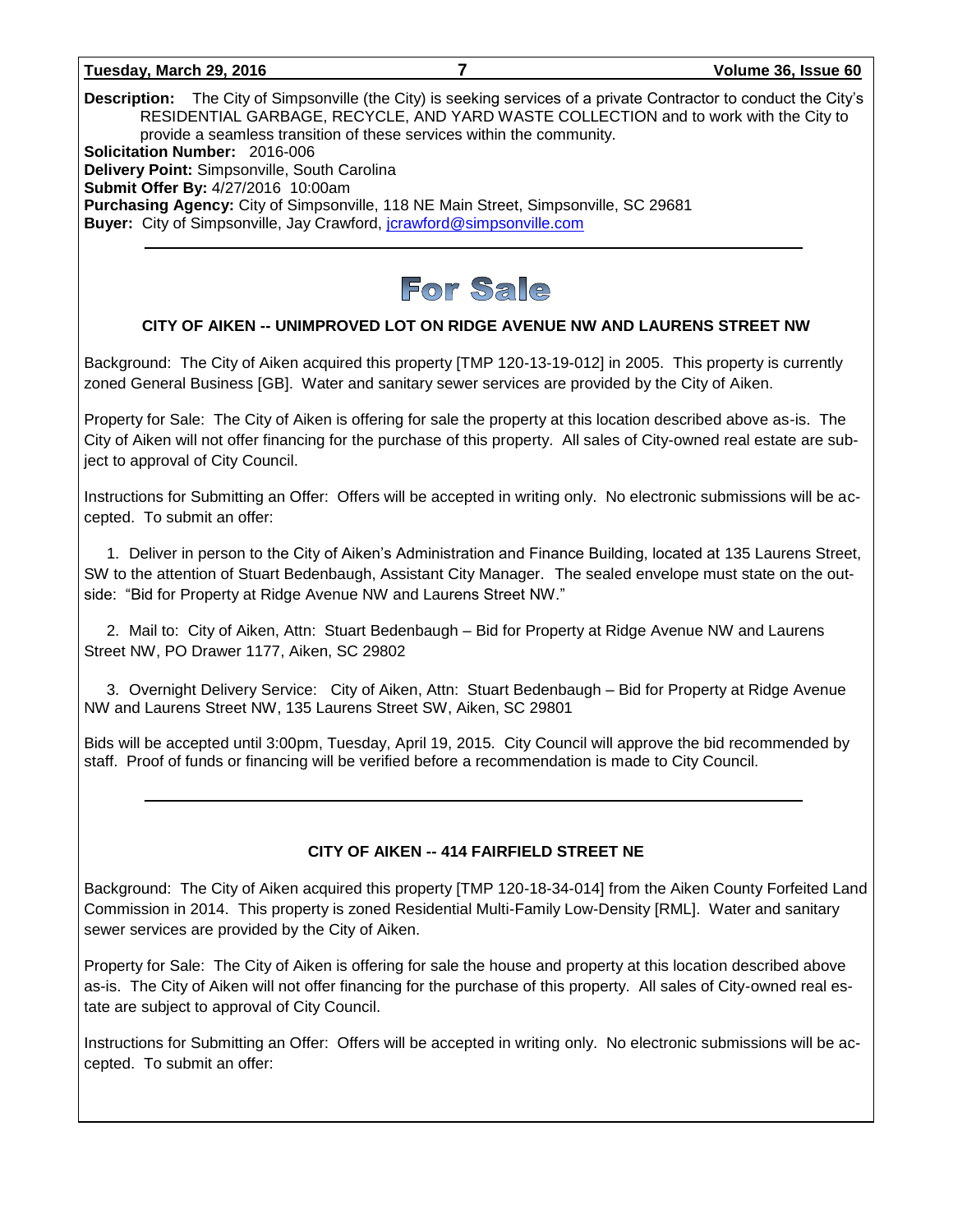#### **Tuesday, March 29, 2016 7 Volume 36, Issue 60**

**Description:** The City of Simpsonville (the City) is seeking services of a private Contractor to conduct the City's RESIDENTIAL GARBAGE, RECYCLE, AND YARD WASTE COLLECTION and to work with the City to provide a seamless transition of these services within the community. **Solicitation Number:** 2016-006 **Delivery Point:** Simpsonville, South Carolina **Submit Offer By:** 4/27/2016 10:00am **Purchasing Agency:** City of Simpsonville, 118 NE Main Street, Simpsonville, SC 29681 **Buyer:** City of Simpsonville, Jay Crawford, [jcrawford@simpsonville.com](mailto:jcrawford@simpsonville.com)



#### **CITY OF AIKEN -- UNIMPROVED LOT ON RIDGE AVENUE NW AND LAURENS STREET NW**

Background: The City of Aiken acquired this property [TMP 120-13-19-012] in 2005. This property is currently zoned General Business [GB]. Water and sanitary sewer services are provided by the City of Aiken.

Property for Sale: The City of Aiken is offering for sale the property at this location described above as-is. The City of Aiken will not offer financing for the purchase of this property. All sales of City-owned real estate are subject to approval of City Council.

Instructions for Submitting an Offer: Offers will be accepted in writing only. No electronic submissions will be accepted. To submit an offer:

1. Deliver in person to the City of Aiken's Administration and Finance Building, located at 135 Laurens Street, SW to the attention of Stuart Bedenbaugh, Assistant City Manager. The sealed envelope must state on the outside: "Bid for Property at Ridge Avenue NW and Laurens Street NW."

2. Mail to: City of Aiken, Attn: Stuart Bedenbaugh – Bid for Property at Ridge Avenue NW and Laurens Street NW, PO Drawer 1177, Aiken, SC 29802

3. Overnight Delivery Service: City of Aiken, Attn: Stuart Bedenbaugh – Bid for Property at Ridge Avenue NW and Laurens Street NW, 135 Laurens Street SW, Aiken, SC 29801

Bids will be accepted until 3:00pm, Tuesday, April 19, 2015. City Council will approve the bid recommended by staff. Proof of funds or financing will be verified before a recommendation is made to City Council.

#### **CITY OF AIKEN -- 414 FAIRFIELD STREET NE**

Background: The City of Aiken acquired this property [TMP 120-18-34-014] from the Aiken County Forfeited Land Commission in 2014. This property is zoned Residential Multi-Family Low-Density [RML]. Water and sanitary sewer services are provided by the City of Aiken.

Property for Sale: The City of Aiken is offering for sale the house and property at this location described above as-is. The City of Aiken will not offer financing for the purchase of this property. All sales of City-owned real estate are subject to approval of City Council.

Instructions for Submitting an Offer: Offers will be accepted in writing only. No electronic submissions will be accepted. To submit an offer: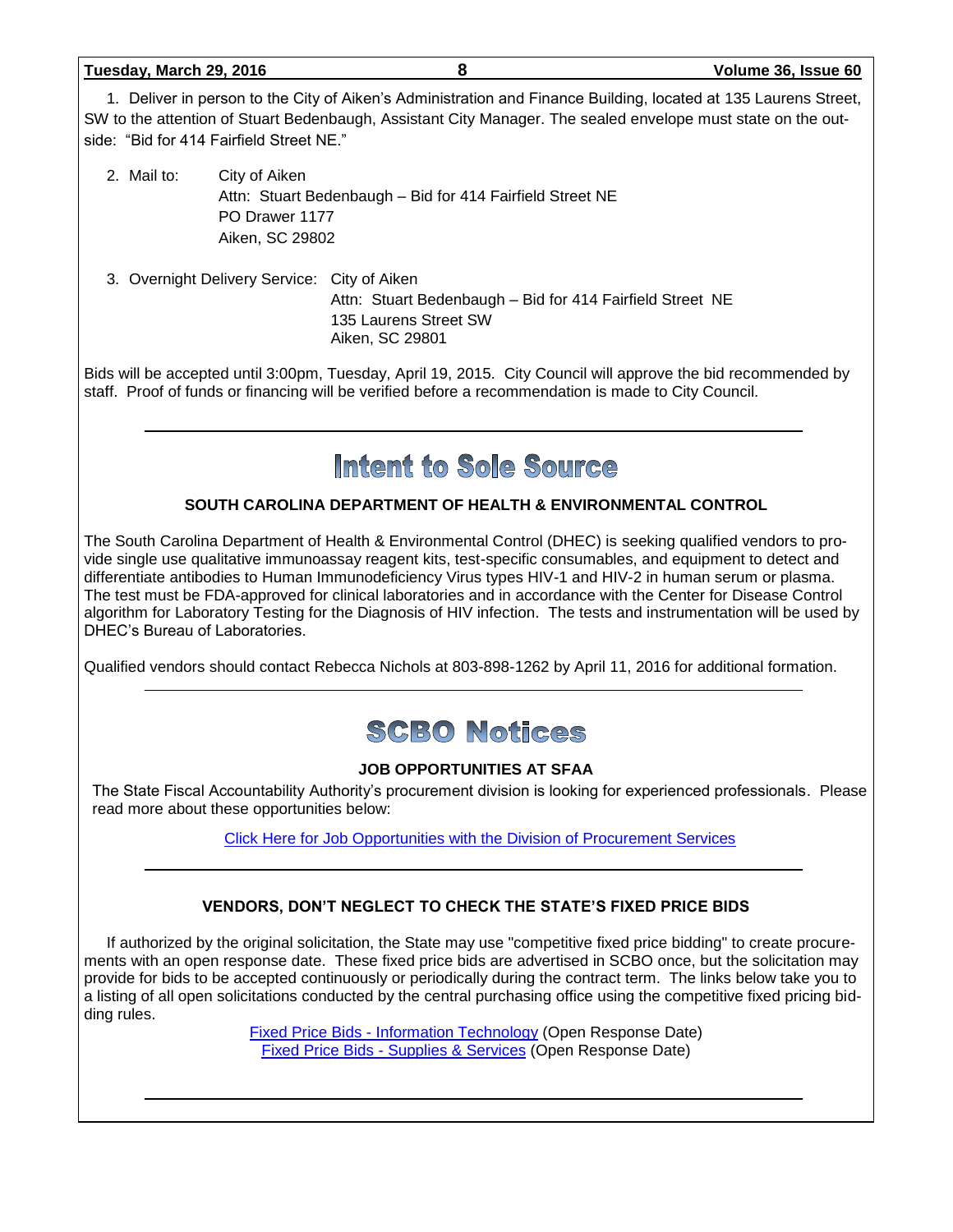| Tuesday, March 29, 2016 |  |  |
|-------------------------|--|--|
|                         |  |  |

**Tuesday, March 29, 2016 8 Volume 36, Issue 60**

1. Deliver in person to the City of Aiken's Administration and Finance Building, located at 135 Laurens Street, SW to the attention of Stuart Bedenbaugh, Assistant City Manager. The sealed envelope must state on the outside: "Bid for 414 Fairfield Street NE."

- 2. Mail to: City of Aiken Attn: Stuart Bedenbaugh – Bid for 414 Fairfield Street NE PO Drawer 1177 Aiken, SC 29802
- 3. Overnight Delivery Service: City of Aiken Attn: Stuart Bedenbaugh – Bid for 414 Fairfield Street NE 135 Laurens Street SW Aiken, SC 29801

Bids will be accepted until 3:00pm, Tuesday, April 19, 2015. City Council will approve the bid recommended by staff. Proof of funds or financing will be verified before a recommendation is made to City Council.

# Intent to Sole Source

#### **SOUTH CAROLINA DEPARTMENT OF HEALTH & ENVIRONMENTAL CONTROL**

The South Carolina Department of Health & Environmental Control (DHEC) is seeking qualified vendors to provide single use qualitative immunoassay reagent kits, test-specific consumables, and equipment to detect and differentiate antibodies to Human Immunodeficiency Virus types HIV-1 and HIV-2 in human serum or plasma. The test must be FDA-approved for clinical laboratories and in accordance with the Center for Disease Control algorithm for Laboratory Testing for the Diagnosis of HIV infection. The tests and instrumentation will be used by DHEC's Bureau of Laboratories.

Qualified vendors should contact Rebecca Nichols at 803-898-1262 by April 11, 2016 for additional formation.



### **JOB OPPORTUNITIES AT SFAA**

The State Fiscal Accountability Authority's procurement division is looking for experienced professionals. Please read more about these opportunities below:

[Click Here for Job Opportunities with the Division of Procurement Services](http://procurement.sc.gov/webfiles/MMO_scbo/SCBO%20Online/SFAA_job_opportunities.pdf)

### **VENDORS, DON'T NEGLECT TO CHECK THE STATE'S FIXED PRICE BIDS**

If authorized by the original solicitation, the State may use "competitive fixed price bidding" to create procurements with an open response date. These fixed price bids are advertised in SCBO once, but the solicitation may provide for bids to be accepted continuously or periodically during the contract term. The links below take you to a listing of all open solicitations conducted by the central purchasing office using the competitive fixed pricing bidding rules.

> Fixed Price Bids - [Information Technology](http://www.mmo.sc.gov/PS/vendor/PS-vendor-fixed-price-bids-it.phtm) (Open Response Date) Fixed Price Bids - [Supplies & Services](http://www.mmo.sc.gov/PS/vendor/PS-vendor-fixed-price-bids-ss.phtm) (Open Response Date)